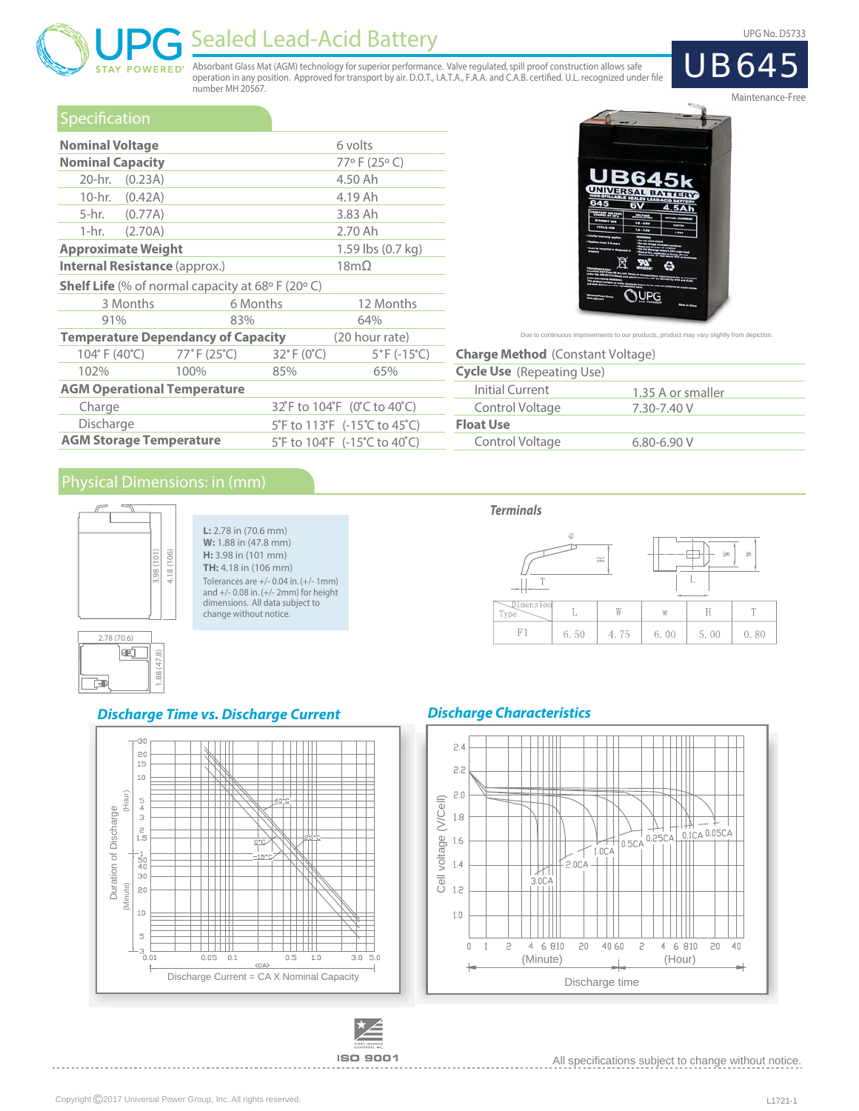UPG No. D5733

**UB64** 



# Sealed Lead-Acid Battery

Absorbant Glass Mat (AGM) technology for superior performance. Valve regulated, spill proof construction allows safe<br>operation in any position. Approved for transport by air. D.O.T., I.A.T.A., F.A.A. and C.A.B. certified. number MH 20567.

### **Specification**

| <b>Nominal Voltage</b>               |                                                                                                                                                                                                                                            |             | 6 volts                                               |  |  |  |  |
|--------------------------------------|--------------------------------------------------------------------------------------------------------------------------------------------------------------------------------------------------------------------------------------------|-------------|-------------------------------------------------------|--|--|--|--|
| <b>Nominal Capacity</b>              |                                                                                                                                                                                                                                            |             | 77°F (25°C)                                           |  |  |  |  |
| 20-hr. (0.23A)                       |                                                                                                                                                                                                                                            |             | 4.50 Ah                                               |  |  |  |  |
| 10-hr. (0.42A)                       |                                                                                                                                                                                                                                            |             | 4.19 Ah                                               |  |  |  |  |
| 5-hr. (0.77A)                        |                                                                                                                                                                                                                                            |             | 3.83 Ah                                               |  |  |  |  |
| $1-hr.$<br>(2.70A)                   |                                                                                                                                                                                                                                            |             | 2.70 Ah                                               |  |  |  |  |
| <b>Approximate Weight</b>            |                                                                                                                                                                                                                                            |             | 1.59 lbs (0.7 kg)                                     |  |  |  |  |
| <b>Internal Resistance (approx.)</b> |                                                                                                                                                                                                                                            | $18m\Omega$ |                                                       |  |  |  |  |
|                                      |                                                                                                                                                                                                                                            |             |                                                       |  |  |  |  |
| 3 Months                             | 6 Months                                                                                                                                                                                                                                   |             | 12 Months                                             |  |  |  |  |
| 91%                                  | 83%                                                                                                                                                                                                                                        |             | 64%                                                   |  |  |  |  |
|                                      | <b>Shelf Life</b> (% of normal capacity at 68 $\circ$ F (20 $\circ$ C)<br><b>Temperature Dependancy of Capacity</b><br>(20 hour rate)<br>104° F (40°C) 77° F (25°C)<br>$32^{\circ}$ F (0 $^{\circ}$ C)<br>$5^{\circ}$ F (-15 $^{\circ}$ C) |             |                                                       |  |  |  |  |
|                                      |                                                                                                                                                                                                                                            |             |                                                       |  |  |  |  |
| 102%                                 | 100%                                                                                                                                                                                                                                       | 85%         | 65%                                                   |  |  |  |  |
| <b>AGM Operational Temperature</b>   |                                                                                                                                                                                                                                            |             |                                                       |  |  |  |  |
| Charge                               |                                                                                                                                                                                                                                            |             | 32 F to 104 F (0 C to 40 C)                           |  |  |  |  |
| Discharge                            |                                                                                                                                                                                                                                            |             | 5°F to 113°F $(-15^{\circ}C \text{ to } 45^{\circ}C)$ |  |  |  |  |
| <b>AGM Storage Temperature</b>       |                                                                                                                                                                                                                                            |             | 5°F to 104°F (-15°C to 40°C)                          |  |  |  |  |



Due to continuous improvements to our products, product may vary slightly from depiction

| <b>Charge Method</b> (Constant Voltage) |                   |  |  |  |  |  |  |  |
|-----------------------------------------|-------------------|--|--|--|--|--|--|--|
| <b>Cycle Use</b> (Repeating Use)        |                   |  |  |  |  |  |  |  |
| Initial Current                         | 1.35 A or smaller |  |  |  |  |  |  |  |
| Control Voltage                         | 7.30-7.40 V       |  |  |  |  |  |  |  |
| <b>Float Use</b>                        |                   |  |  |  |  |  |  |  |
| Control Voltage                         | $6.80 - 6.90 V$   |  |  |  |  |  |  |  |
|                                         |                   |  |  |  |  |  |  |  |

 $\equiv$ 

 $\mathbb L$ 

6.50

 $\mathbf W$ 

4.75

 $\mathbb{I}$ 

 $\mathbf{W}$ 

6.00

 $\mathbb H$ 

5.00

 $\bar{\rm T}$ 

 $0.80$ 



**L:** 2.78 in (70.6 mm) **W:** 1.88 in (47.8 mm) **H:** 3.98 in (101 mm) **TH:** 4.18 in (106 mm) Tolerances are +/- 0.04 in. (+/- 1mm) and +/- 0.08 in. (+/- 2mm) for height dimensions. All data subject to change without notice.



#### **Discharge Time vs. Discharge Current**





#### **Discharge Characteristics**

**Terminals**



All specifications subject to change without notice.